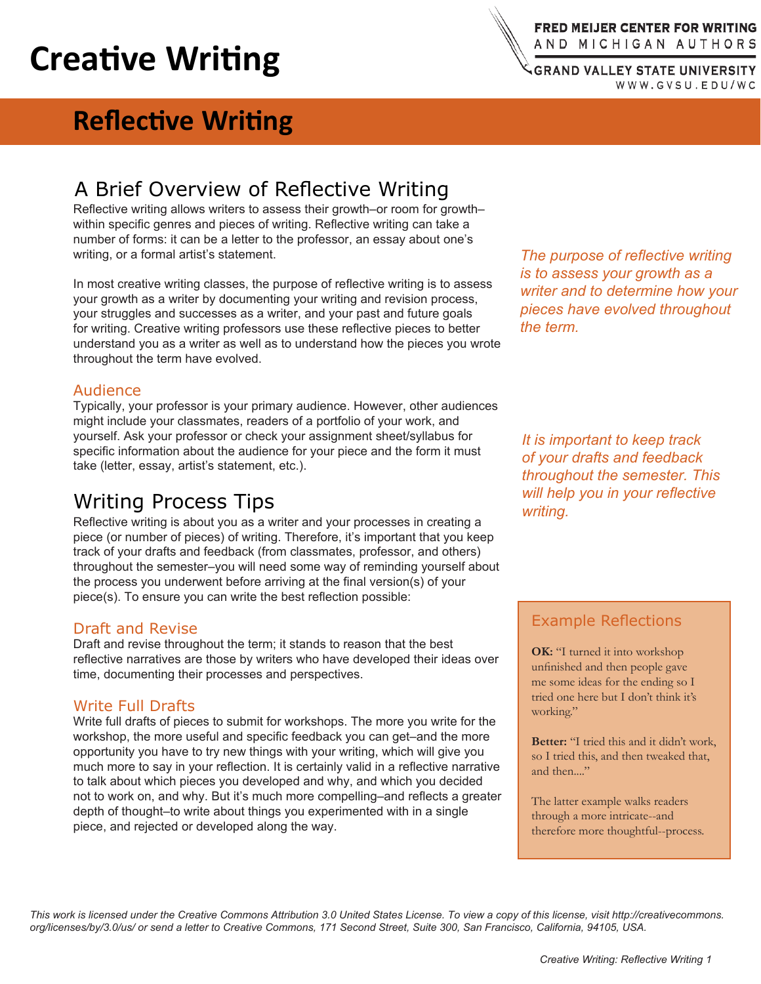# **Creative Writing**

### A Brief Overview of Reflective Writing

Reflective writing allows writers to assess their growth–or room for growth– within specific genres and pieces of writing. Reflective writing can take a number of forms: it can be a letter to the professor, an essay about one's writing, or a formal artist's statement.

In most creative writing classes, the purpose of reflective writing is to assess your growth as a writer by documenting your writing and revision process, your struggles and successes as a writer, and your past and future goals for writing. Creative writing professors use these reflective pieces to better understand you as a writer as well as to understand how the pieces you wrote throughout the term have evolved.

#### Audience

Typically, your professor is your primary audience. However, other audiences might include your classmates, readers of a portfolio of your work, and yourself. Ask your professor or check your assignment sheet/syllabus for specific information about the audience for your piece and the form it must take (letter, essay, artist's statement, etc.).

## Writing Process Tips

Reflective writing is about you as a writer and your processes in creating a piece (or number of pieces) of writing. Therefore, it's important that you keep track of your drafts and feedback (from classmates, professor, and others) throughout the semester–you will need some way of reminding yourself about the process you underwent before arriving at the final version(s) of your piece(s). To ensure you can write the best reflection possible:

#### Draft and Revise

Draft and revise throughout the term; it stands to reason that the best reflective narratives are those by writers who have developed their ideas over time, documenting their processes and perspectives.

#### Write Full Drafts

Write full drafts of pieces to submit for workshops. The more you write for the workshop, the more useful and specific feedback you can get–and the more opportunity you have to try new things with your writing, which will give you much more to say in your reflection. It is certainly valid in a reflective narrative to talk about which pieces you developed and why, and which you decided not to work on, and why. But it's much more compelling–and reflects a greater depth of thought–to write about things you experimented with in a single piece, and rejected or developed along the way.

*The purpose of reflective writing is to assess your growth as a writer and to determine how your pieces have evolved throughout the term.*

*It is important to keep track of your drafts and feedback throughout the semester. This will help you in your reflective writing.*

### Example Reflections

**OK:** "I turned it into workshop unfinished and then people gave me some ideas for the ending so I tried one here but I don't think it's working."

**Better:** "I tried this and it didn't work, so I tried this, and then tweaked that, and then...."

The latter example walks readers through a more intricate--and therefore more thoughtful--process.

*This work is licensed under the Creative Commons Attribution 3.0 United States License. To view a copy of this license, visit http://creativecommons. org/licenses/by/3.0/us/ or send a letter to Creative Commons, 171 Second Street, Suite 300, San Francisco, California, 94105, USA.*

FRED MEIJER CENTER FOR WRITING AND MICHIGAN AUTHORS

**GRAND VALLEY STATE UNIVERSITY** WWW.GVSU.EDU/WC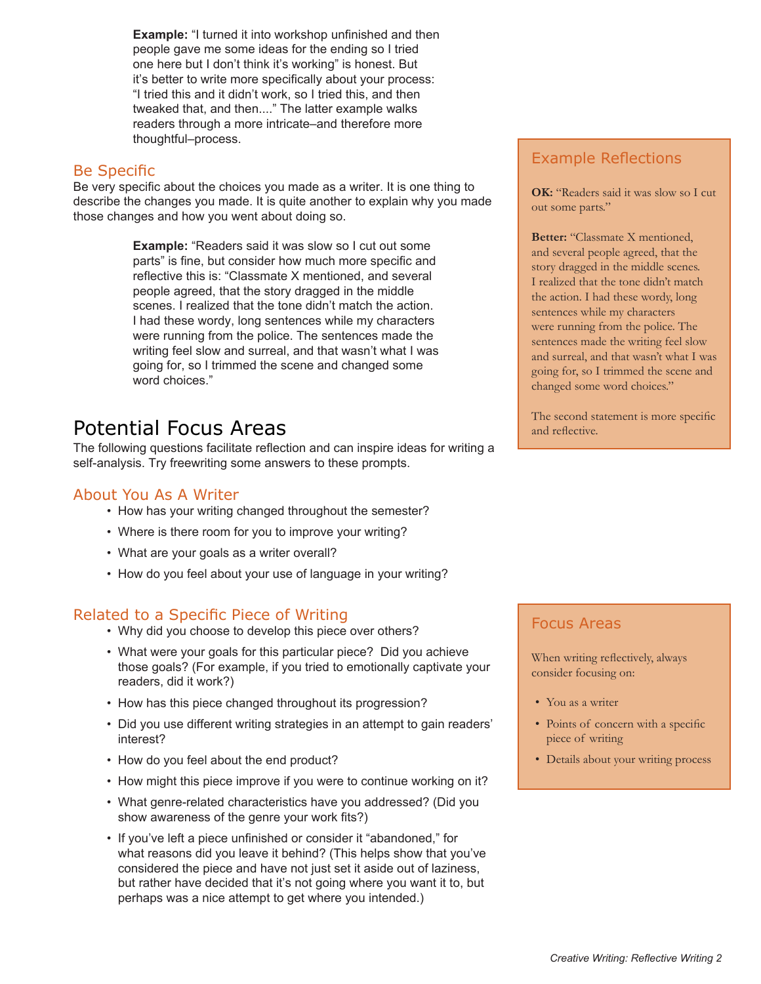**Example:** "I turned it into workshop unfinished and then people gave me some ideas for the ending so I tried one here but I don't think it's working" is honest. But it's better to write more specifically about your process: "I tried this and it didn't work, so I tried this, and then tweaked that, and then...." The latter example walks readers through a more intricate–and therefore more thoughtful–process.

### Be Specific

Be very specific about the choices you made as a writer. It is one thing to describe the changes you made. It is quite another to explain why you made those changes and how you went about doing so.

> **Example:** "Readers said it was slow so I cut out some parts" is fine, but consider how much more specific and reflective this is: "Classmate X mentioned, and several people agreed, that the story dragged in the middle scenes. I realized that the tone didn't match the action. I had these wordy, long sentences while my characters were running from the police. The sentences made the writing feel slow and surreal, and that wasn't what I was going for, so I trimmed the scene and changed some word choices."

## Potential Focus Areas

The following questions facilitate reflection and can inspire ideas for writing a self-analysis. Try freewriting some answers to these prompts.

### About You As A Writer

- How has your writing changed throughout the semester?
- Where is there room for you to improve your writing? •
- What are your goals as a writer overall? •
- How do you feel about your use of language in your writing?

### Related to a Specific Piece of Writing

- Why did you choose to develop this piece over others? •
- What were your goals for this particular piece? Did you achieve those goals? (For example, if you tried to emotionally captivate your readers, did it work?)
- How has this piece changed throughout its progression?
- Did you use different writing strategies in an attempt to gain readers' interest?
- How do you feel about the end product?
- How might this piece improve if you were to continue working on it?
- What genre-related characteristics have you addressed? (Did you show awareness of the genre your work fits?)
- If you've left a piece unfinished or consider it "abandoned," for what reasons did you leave it behind? (This helps show that you've considered the piece and have not just set it aside out of laziness, but rather have decided that it's not going where you want it to, but perhaps was a nice attempt to get where you intended.)

### Example Reflections

**OK:** "Readers said it was slow so I cut out some parts."

**Better:** "Classmate X mentioned, and several people agreed, that the story dragged in the middle scenes. I realized that the tone didn't match the action. I had these wordy, long sentences while my characters were running from the police. The sentences made the writing feel slow and surreal, and that wasn't what I was going for, so I trimmed the scene and changed some word choices."

The second statement is more specific and reflective.

### Focus Areas

When writing reflectively, always consider focusing on:

- You as a writer
- Points of concern with a specific piece of writing
- Details about your writing process •